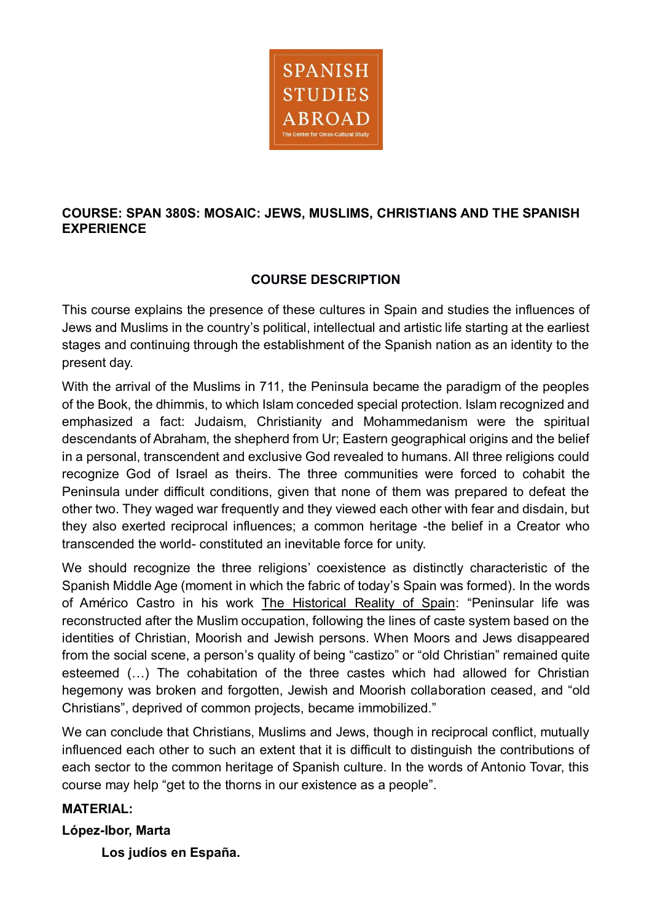

# **COURSE: SPAN 380S: MOSAIC: JEWS, MUSLIMS, CHRISTIANS AND THE SPANISH EXPERIENCE**

# **COURSE DESCRIPTION**

This course explains the presence of these cultures in Spain and studies the influences of Jews and Muslims in the country's political, intellectual and artistic life starting at the earliest stages and continuing through the establishment of the Spanish nation as an identity to the present day.

With the arrival of the Muslims in 711, the Peninsula became the paradigm of the peoples of the Book, the dhimmis, to which Islam conceded special protection. Islam recognized and emphasized a fact: Judaism, Christianity and Mohammedanism were the spiritual descendants of Abraham, the shepherd from Ur; Eastern geographical origins and the belief in a personal, transcendent and exclusive God revealed to humans. All three religions could recognize God of Israel as theirs. The three communities were forced to cohabit the Peninsula under difficult conditions, given that none of them was prepared to defeat the other two. They waged war frequently and they viewed each other with fear and disdain, but they also exerted reciprocal influences; a common heritage -the belief in a Creator who transcended the world- constituted an inevitable force for unity.

We should recognize the three religions' coexistence as distinctly characteristic of the Spanish Middle Age (moment in which the fabric of today's Spain was formed). In the words of Américo Castro in his work The Historical Reality of Spain: "Peninsular life was reconstructed after the Muslim occupation, following the lines of caste system based on the identities of Christian, Moorish and Jewish persons. When Moors and Jews disappeared from the social scene, a person's quality of being "castizo" or "old Christian" remained quite esteemed (…) The cohabitation of the three castes which had allowed for Christian hegemony was broken and forgotten, Jewish and Moorish collaboration ceased, and "old Christians", deprived of common projects, became immobilized."

We can conclude that Christians, Muslims and Jews, though in reciprocal conflict, mutually influenced each other to such an extent that it is difficult to distinguish the contributions of each sector to the common heritage of Spanish culture. In the words of Antonio Tovar, this course may help "get to the thorns in our existence as a people".

# **MATERIAL:**

# **López-Ibor, Marta**

**Los judíos en España.**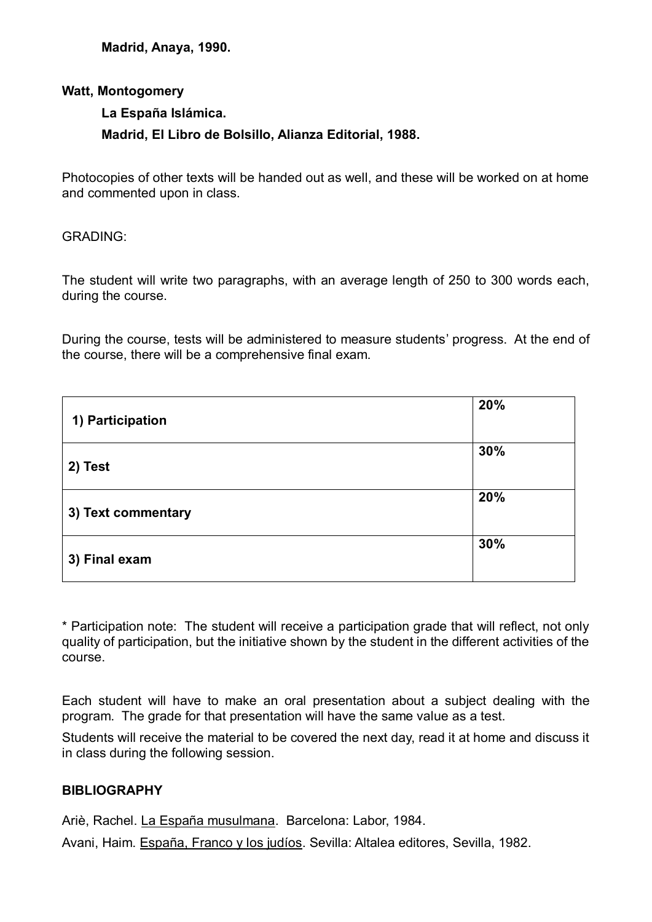**Madrid, Anaya, 1990.**

#### **Watt, Montogomery**

#### **La España Islámica.**

# **Madrid, El Libro de Bolsillo, Alianza Editorial, 1988.**

Photocopies of other texts will be handed out as well, and these will be worked on at home and commented upon in class.

#### GRADING:

The student will write two paragraphs, with an average length of 250 to 300 words each, during the course.

During the course, tests will be administered to measure students' progress. At the end of the course, there will be a comprehensive final exam.

| 1) Participation   | 20% |
|--------------------|-----|
| 2) Test            | 30% |
| 3) Text commentary | 20% |
| 3) Final exam      | 30% |

\* Participation note: The student will receive a participation grade that will reflect, not only quality of participation, but the initiative shown by the student in the different activities of the course.

Each student will have to make an oral presentation about a subject dealing with the program. The grade for that presentation will have the same value as a test.

Students will receive the material to be covered the next day, read it at home and discuss it in class during the following session.

# **BIBLIOGRAPHY**

Ariè, Rachel. La España musulmana. Barcelona: Labor, 1984.

Avani, Haim. España, Franco y los judíos. Sevilla: Altalea editores, Sevilla, 1982.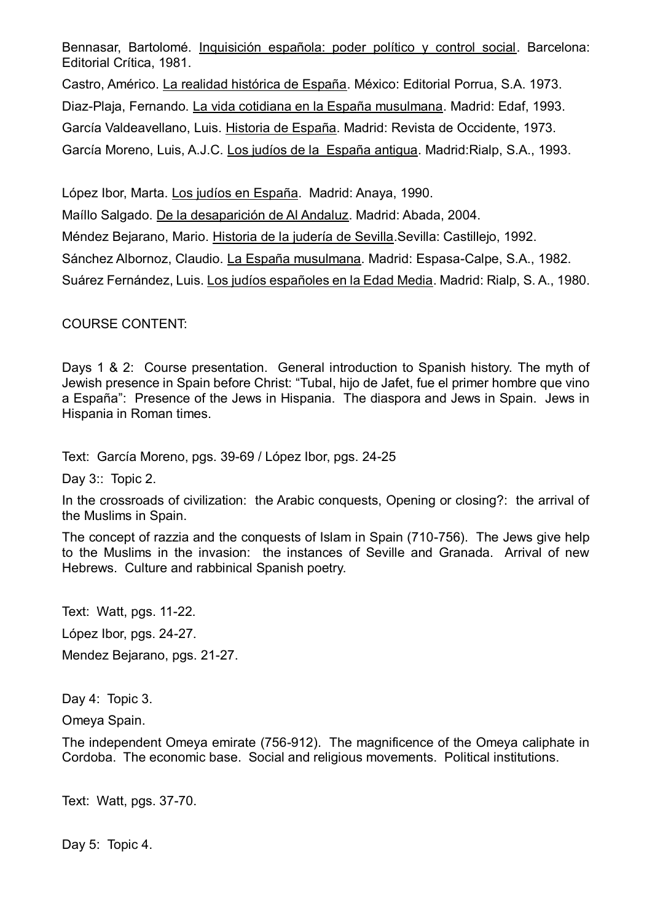Bennasar, Bartolomé. Inquisición española: poder político y control social. Barcelona: Editorial Crítica, 1981.

Castro, Américo. La realidad histórica de España. México: Editorial Porrua, S.A. 1973. Diaz-Plaja, Fernando. La vida cotidiana en la España musulmana. Madrid: Edaf, 1993. García Valdeavellano, Luis. Historia de España. Madrid: Revista de Occidente, 1973. García Moreno, Luis, A.J.C. Los judíos de la España antigua. Madrid:Rialp, S.A., 1993.

López Ibor, Marta. Los judíos en España. Madrid: Anaya, 1990.

Maíllo Salgado. De la desaparición de Al Andaluz. Madrid: Abada, 2004.

Méndez Bejarano, Mario. Historia de la judería de Sevilla.Sevilla: Castillejo, 1992.

Sánchez Albornoz, Claudio. La España musulmana. Madrid: Espasa-Calpe, S.A., 1982.

Suárez Fernández, Luis. Los judíos españoles en la Edad Media. Madrid: Rialp, S. A., 1980.

COURSE CONTENT:

Days 1 & 2: Course presentation. General introduction to Spanish history. The myth of Jewish presence in Spain before Christ: "Tubal, hijo de Jafet, fue el primer hombre que vino a España": Presence of the Jews in Hispania. The diaspora and Jews in Spain. Jews in Hispania in Roman times.

Text: García Moreno, pgs. 39-69 / López Ibor, pgs. 24-25

Day 3:: Topic 2.

In the crossroads of civilization: the Arabic conquests, Opening or closing?: the arrival of the Muslims in Spain.

The concept of razzia and the conquests of Islam in Spain (710-756). The Jews give help to the Muslims in the invasion: the instances of Seville and Granada. Arrival of new Hebrews. Culture and rabbinical Spanish poetry.

Text: Watt, pgs. 11-22. López Ibor, pgs. 24-27. Mendez Bejarano, pgs. 21-27.

Day 4: Topic 3.

Omeya Spain.

The independent Omeya emirate (756-912). The magnificence of the Omeya caliphate in Cordoba. The economic base. Social and religious movements. Political institutions.

Text: Watt, pgs. 37-70.

Day 5: Topic 4.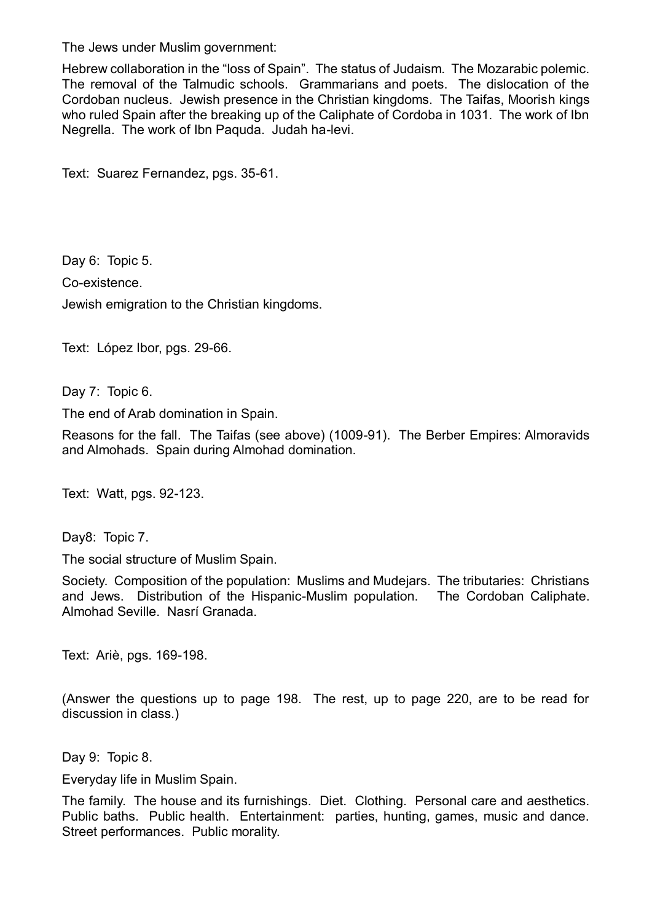The Jews under Muslim government:

Hebrew collaboration in the "loss of Spain". The status of Judaism. The Mozarabic polemic. The removal of the Talmudic schools. Grammarians and poets. The dislocation of the Cordoban nucleus. Jewish presence in the Christian kingdoms. The Taifas, Moorish kings who ruled Spain after the breaking up of the Caliphate of Cordoba in 1031. The work of Ibn Negrella. The work of Ibn Paquda. Judah ha-levi.

Text: Suarez Fernandez, pgs. 35-61.

Day 6: Topic 5. Co-existence. Jewish emigration to the Christian kingdoms.

Text: López Ibor, pgs. 29-66.

Day 7: Topic 6.

The end of Arab domination in Spain.

Reasons for the fall. The Taifas (see above) (1009-91). The Berber Empires: Almoravids and Almohads. Spain during Almohad domination.

Text: Watt, pgs. 92-123.

Day8: Topic 7.

The social structure of Muslim Spain.

Society. Composition of the population: Muslims and Mudejars. The tributaries: Christians and Jews. Distribution of the Hispanic-Muslim population. The Cordoban Caliphate. Almohad Seville. Nasrí Granada.

Text: Ariè, pgs. 169-198.

(Answer the questions up to page 198. The rest, up to page 220, are to be read for discussion in class.)

Day 9: Topic 8.

Everyday life in Muslim Spain.

The family. The house and its furnishings. Diet. Clothing. Personal care and aesthetics. Public baths. Public health. Entertainment: parties, hunting, games, music and dance. Street performances. Public morality.